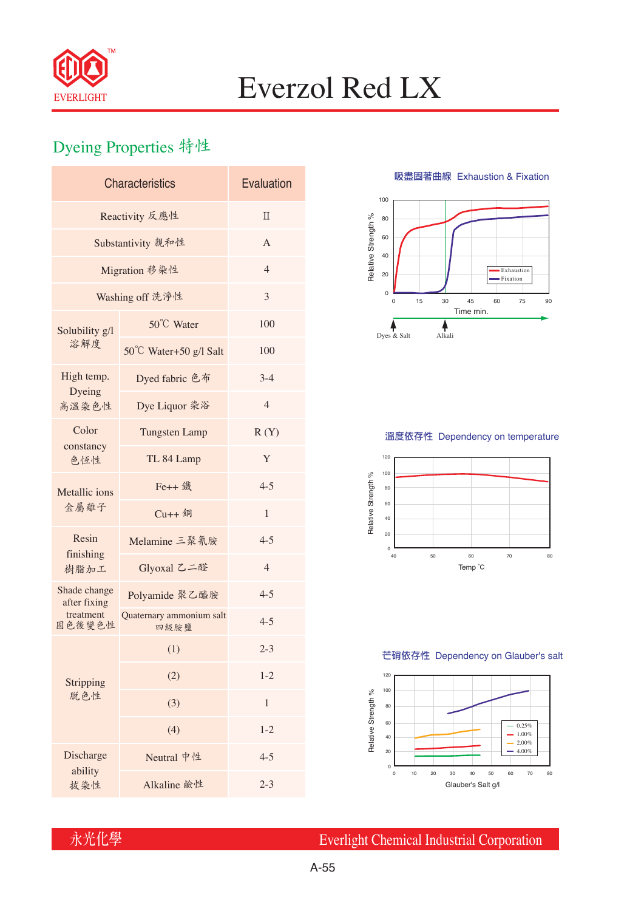

## Everzol Red LX

## Dyeing Properties 特性

| <b>Characteristics</b>       | Evaluation                       |                |  |  |  |
|------------------------------|----------------------------------|----------------|--|--|--|
| Reactivity 反應性               | $\Pi$                            |                |  |  |  |
| Substantivity 親和性            | $\overline{A}$                   |                |  |  |  |
| Migration 移染性                | $\overline{4}$                   |                |  |  |  |
| Washing off 洗淨性              | 3                                |                |  |  |  |
| Solubility g/l<br>溶解度        | 50°C Water                       | 100            |  |  |  |
|                              | 50°C Water+50 g/l Salt           | 100            |  |  |  |
| High temp.<br>Dyeing         | Dyed fabric 色布                   | $3-4$          |  |  |  |
| 高溫染色性                        | Dye Liquor 染浴                    | $\overline{4}$ |  |  |  |
| Color<br>constancy<br>色恆性    | <b>Tungsten Lamp</b>             | R(Y)           |  |  |  |
|                              | TL 84 Lamp                       | Y              |  |  |  |
| Metallic ions<br>金屬離子        | Fe++ 鐵                           | $4 - 5$        |  |  |  |
|                              | $Cu++4$                          | 1              |  |  |  |
| Resin<br>finishing           | Melamine 三聚氰胺                    | $4 - 5$        |  |  |  |
| 樹脂加工                         | Glyoxal 乙二醛                      | $\overline{4}$ |  |  |  |
| Shade change<br>after fixing | Polyamide 聚乙醯胺                   | $4 - 5$        |  |  |  |
| treatment<br>固色後變色性          | Quaternary ammonium salt<br>四級胺鹽 | $4 - 5$        |  |  |  |
|                              | (1)                              | $2 - 3$        |  |  |  |
| Stripping<br>脱色性             | (2)                              | $1 - 2$        |  |  |  |
|                              | (3)                              | 1              |  |  |  |
|                              | (4)                              | $1 - 2$        |  |  |  |
| Discharge                    | Neutral 中性                       | $4 - 5$        |  |  |  |
| ability<br>拔染性               | Alkaline 鹼性                      | $2 - 3$        |  |  |  |

**吸盡固著曲線** Exhaustion & Fixation



### **溫度依存性** Dependency on temperature



#### **芒硝依存性** Dependency on Glauber's salt